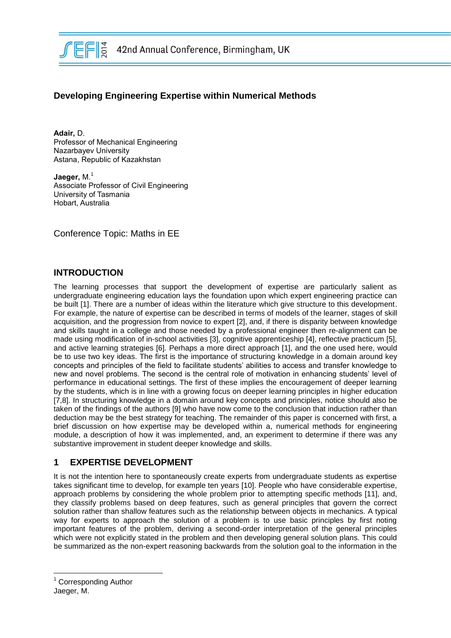

# **Developing Engineering Expertise within Numerical Methods**

**Adair,** D. Professor of Mechanical Engineering Nazarbayev University Astana, Republic of Kazakhstan

Jaeger, M.<sup>1</sup> Associate Professor of Civil Engineering University of Tasmania Hobart, Australia

Conference Topic: Maths in EE

### **INTRODUCTION**

The learning processes that support the development of expertise are particularly salient as undergraduate engineering education lays the foundation upon which expert engineering practice can be built [1]. There are a number of ideas within the literature which give structure to this development. For example, the nature of expertise can be described in terms of models of the learner, stages of skill acquisition, and the progression from novice to expert [2], and, if there is disparity between knowledge and skills taught in a college and those needed by a professional engineer then re-alignment can be made using modification of in-school activities [3], cognitive apprenticeship [4], reflective practicum [5], and active learning strategies [6]. Perhaps a more direct approach [1], and the one used here, would be to use two key ideas. The first is the importance of structuring knowledge in a domain around key concepts and principles of the field to facilitate students' abilities to access and transfer knowledge to new and novel problems. The second is the central role of motivation in enhancing students' level of performance in educational settings. The first of these implies the encouragement of deeper learning by the students, which is in line with a growing focus on deeper learning principles in higher education [7,8]. In structuring knowledge in a domain around key concepts and principles, notice should also be taken of the findings of the authors [9] who have now come to the conclusion that induction rather than deduction may be the best strategy for teaching. The remainder of this paper is concerned with first, a brief discussion on how expertise may be developed within a, numerical methods for engineering module, a description of how it was implemented, and, an experiment to determine if there was any substantive improvement in student deeper knowledge and skills.

# **1 EXPERTISE DEVELOPMENT**

It is not the intention here to spontaneously create experts from undergraduate students as expertise takes significant time to develop, for example ten years [10]. People who have considerable expertise, approach problems by considering the whole problem prior to attempting specific methods [11], and, they classify problems based on deep features, such as general principles that govern the correct solution rather than shallow features such as the relationship between objects in mechanics. A typical way for experts to approach the solution of a problem is to use basic principles by first noting important features of the problem, deriving a second-order interpretation of the general principles which were not explicitly stated in the problem and then developing general solution plans. This could be summarized as the non-expert reasoning backwards from the solution goal to the information in the

 $\overline{a}$ 

<sup>&</sup>lt;sup>1</sup> Corresponding Author Jaeger, M.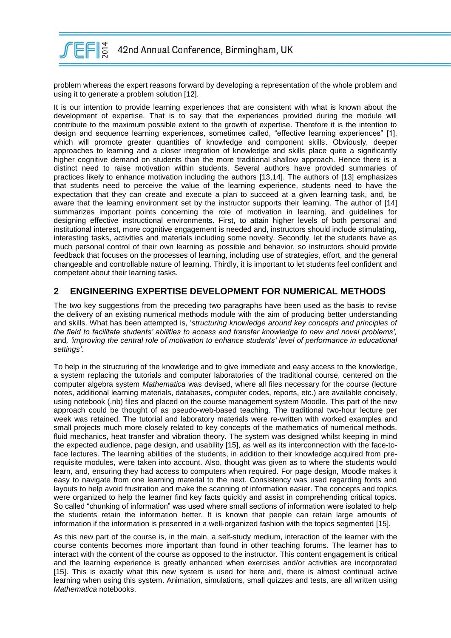

problem whereas the expert reasons forward by developing a representation of the whole problem and using it to generate a problem solution [12].

It is our intention to provide learning experiences that are consistent with what is known about the development of expertise. That is to say that the experiences provided during the module will contribute to the maximum possible extent to the growth of expertise. Therefore it is the intention to design and sequence learning experiences, sometimes called, "effective learning experiences" [1], which will promote greater quantities of knowledge and component skills. Obviously, deeper approaches to learning and a closer integration of knowledge and skills place quite a significantly higher cognitive demand on students than the more traditional shallow approach. Hence there is a distinct need to raise motivation within students. Several authors have provided summaries of practices likely to enhance motivation including the authors [13,14]. The authors of [13] emphasizes that students need to perceive the value of the learning experience, students need to have the expectation that they can create and execute a plan to succeed at a given learning task, and, be aware that the learning environment set by the instructor supports their learning. The author of [14] summarizes important points concerning the role of motivation in learning, and guidelines for designing effective instructional environments. First, to attain higher levels of both personal and institutional interest, more cognitive engagement is needed and, instructors should include stimulating, interesting tasks, activities and materials including some novelty. Secondly, let the students have as much personal control of their own learning as possible and behavior, so instructors should provide feedback that focuses on the processes of learning, including use of strategies, effort, and the general changeable and controllable nature of learning. Thirdly, it is important to let students feel confident and competent about their learning tasks.

# **2 ENGINEERING EXPERTISE DEVELOPMENT FOR NUMERICAL METHODS**

The two key suggestions from the preceding two paragraphs have been used as the basis to revise the delivery of an existing numerical methods module with the aim of producing better understanding and skills. What has been attempted is, '*structuring knowledge around key concepts and principles of the field to facilitate students' abilities to access and transfer knowledge to new and novel problems',*  and*, 'improving the central role of motivation to enhance students' level of performance in educational settings'.*

To help in the structuring of the knowledge and to give immediate and easy access to the knowledge, a system replacing the tutorials and computer laboratories of the traditional course, centered on the computer algebra system *Mathematica* was devised, where all files necessary for the course (lecture notes, additional learning materials, databases, computer codes, reports, etc.) are available concisely, using notebook (.nb) files and placed on the course management system Moodle. This part of the new approach could be thought of as pseudo-web-based teaching. The traditional two-hour lecture per week was retained. The tutorial and laboratory materials were re-written with worked examples and small projects much more closely related to key concepts of the mathematics of numerical methods, fluid mechanics, heat transfer and vibration theory. The system was designed whilst keeping in mind the expected audience, page design, and usability [15], as well as its interconnection with the face-toface lectures. The learning abilities of the students, in addition to their knowledge acquired from prerequisite modules, were taken into account. Also, thought was given as to where the students would learn, and, ensuring they had access to computers when required. For page design, Moodle makes it easy to navigate from one learning material to the next. Consistency was used regarding fonts and layouts to help avoid frustration and make the scanning of information easier. The concepts and topics were organized to help the learner find key facts quickly and assist in comprehending critical topics. So called "chunking of information" was used where small sections of information were isolated to help the students retain the information better. It is known that people can retain large amounts of information if the information is presented in a well-organized fashion with the topics segmented [15].

As this new part of the course is, in the main, a self-study medium, interaction of the learner with the course contents becomes more important than found in other teaching forums. The learner has to interact with the content of the course as opposed to the instructor. This content engagement is critical and the learning experience is greatly enhanced when exercises and/or activities are incorporated [15]. This is exactly what this new system is used for here and, there is almost continual active learning when using this system. Animation, simulations, small quizzes and tests, are all written using *Mathematica* notebooks.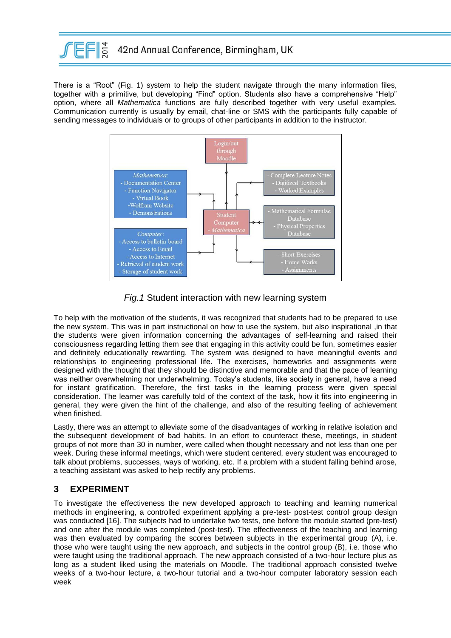

There is a "Root" (Fig. 1) system to help the student navigate through the many information files, together with a primitive, but developing "Find" option. Students also have a comprehensive "Help" option, where all *Mathematica* functions are fully described together with very useful examples. Communication currently is usually by email, chat-line or SMS with the participants fully capable of sending messages to individuals or to groups of other participants in addition to the instructor.



# *Fig.1* Student interaction with new learning system

To help with the motivation of the students, it was recognized that students had to be prepared to use the new system. This was in part instructional on how to use the system, but also inspirational ,in that the students were given information concerning the advantages of self-learning and raised their consciousness regarding letting them see that engaging in this activity could be fun, sometimes easier and definitely educationally rewarding. The system was designed to have meaningful events and relationships to engineering professional life. The exercises, homeworks and assignments were designed with the thought that they should be distinctive and memorable and that the pace of learning was neither overwhelming nor underwhelming. Today's students, like society in general, have a need for instant gratification. Therefore, the first tasks in the learning process were given special consideration. The learner was carefully told of the context of the task, how it fits into engineering in general, they were given the hint of the challenge, and also of the resulting feeling of achievement when finished.

Lastly, there was an attempt to alleviate some of the disadvantages of working in relative isolation and the subsequent development of bad habits. In an effort to counteract these, meetings, in student groups of not more than 30 in number, were called when thought necessary and not less than one per week. During these informal meetings, which were student centered, every student was encouraged to talk about problems, successes, ways of working, etc. If a problem with a student falling behind arose, a teaching assistant was asked to help rectify any problems.

# **3 EXPERIMENT**

To investigate the effectiveness the new developed approach to teaching and learning numerical methods in engineering, a controlled experiment applying a pre-test- post-test control group design was conducted [16]. The subjects had to undertake two tests, one before the module started (pre-test) and one after the module was completed (post-test). The effectiveness of the teaching and learning was then evaluated by comparing the scores between subjects in the experimental group (A), i.e. those who were taught using the new approach, and subjects in the control group (B), i.e. those who were taught using the traditional approach. The new approach consisted of a two-hour lecture plus as long as a student liked using the materials on Moodle. The traditional approach consisted twelve weeks of a two-hour lecture, a two-hour tutorial and a two-hour computer laboratory session each week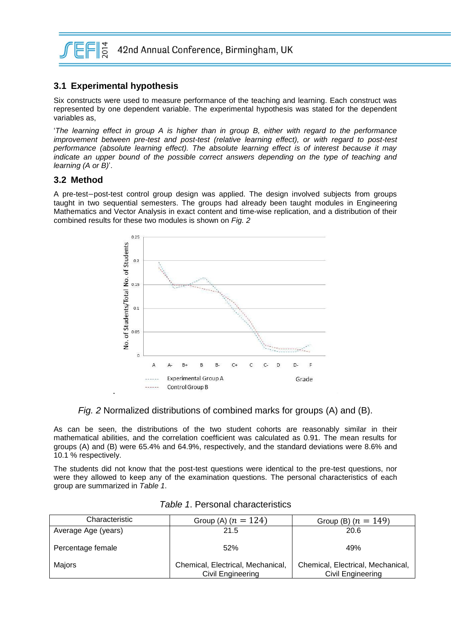

# **3.1 Experimental hypothesis**

Six constructs were used to measure performance of the teaching and learning. Each construct was represented by one dependent variable. The experimental hypothesis was stated for the dependent variables as,

'*The learning effect in group A is higher than in group B, either with regard to the performance improvement between pre-test and post-test (relative learning effect), or with regard to post-test performance (absolute learning effect). The absolute learning effect is of interest because it may indicate an upper bound of the possible correct answers depending on the type of teaching and learning (A or B)*'.

#### **3.2 Method**

A pre-test-post-test control group design was applied. The design involved subjects from groups taught in two sequential semesters. The groups had already been taught modules in Engineering Mathematics and Vector Analysis in exact content and time-wise replication, and a distribution of their combined results for these two modules is shown on *Fig. 2*



*Fig. 2* Normalized distributions of combined marks for groups (A) and (B).

As can be seen, the distributions of the two student cohorts are reasonably similar in their mathematical abilities, and the correlation coefficient was calculated as 0.91. The mean results for groups (A) and (B) were 65.4% and 64.9%, respectively, and the standard deviations were 8.6% and 10.1 % respectively.

The students did not know that the post-test questions were identical to the pre-test questions, nor were they allowed to keep any of the examination questions. The personal characteristics of each group are summarized in *Table 1*.

| Characteristic      | Group (A) $(n = 124)$             | Group (B) $(n = 149)$             |  |
|---------------------|-----------------------------------|-----------------------------------|--|
| Average Age (years) | 21.5                              | 20.6                              |  |
| Percentage female   | 52%                               | 49%                               |  |
| Maiors              | Chemical, Electrical, Mechanical, | Chemical, Electrical, Mechanical, |  |
|                     | Civil Engineering                 | Civil Engineering                 |  |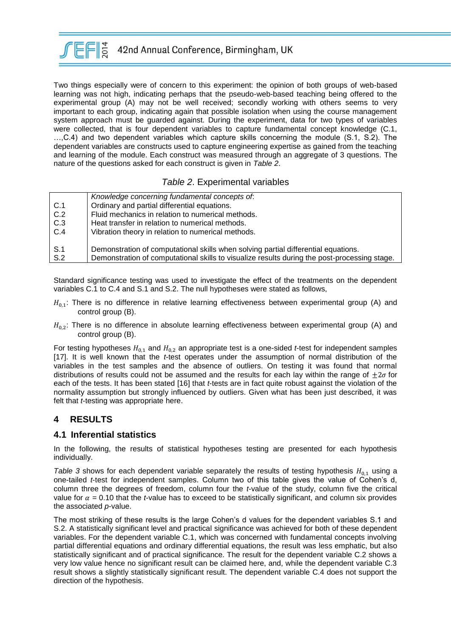

Two things especially were of concern to this experiment: the opinion of both groups of web-based learning was not high, indicating perhaps that the pseudo-web-based teaching being offered to the experimental group (A) may not be well received; secondly working with others seems to very important to each group, indicating again that possible isolation when using the course management system approach must be guarded against. During the experiment, data for two types of variables were collected, that is four dependent variables to capture fundamental concept knowledge (C.1, …,C.4) and two dependent variables which capture skills concerning the module (S.1, S.2). The dependent variables are constructs used to capture engineering expertise as gained from the teaching and learning of the module. Each construct was measured through an aggregate of 3 questions. The nature of the questions asked for each construct is given in *Table 2*.

### *Table 2*. Experimental variables

|     | Knowledge concerning fundamental concepts of:                                                |
|-----|----------------------------------------------------------------------------------------------|
| C.1 | Ordinary and partial differential equations.                                                 |
| C.2 | Fluid mechanics in relation to numerical methods.                                            |
| C.3 | Heat transfer in relation to numerical methods.                                              |
| C.4 | Vibration theory in relation to numerical methods.                                           |
|     |                                                                                              |
| S.1 | Demonstration of computational skills when solving partial differential equations.           |
| S.2 | Demonstration of computational skills to visualize results during the post-processing stage. |

Standard significance testing was used to investigate the effect of the treatments on the dependent variables C.1 to C.4 and S.1 and S.2. The null hypotheses were stated as follows,

- $H_{0,1}$ : There is no difference in relative learning effectiveness between experimental group (A) and control group (B).
- $H_{0,2}$ : There is no difference in absolute learning effectiveness between experimental group (A) and control group (B).

For testing hypotheses  $H_{0,1}$  and  $H_{0,2}$  an appropriate test is a one-sided *t*-test for independent samples [17]. It is well known that the *t*-test operates under the assumption of normal distribution of the variables in the test samples and the absence of outliers. On testing it was found that normal distributions of results could not be assumed and the results for each lay within the range of  $\pm 2\sigma$  for each of the tests. It has been stated [16] that *t*-tests are in fact quite robust against the violation of the normality assumption but strongly influenced by outliers. Given what has been just described, it was felt that *t*-testing was appropriate here.

# **4 RESULTS**

#### **4.1 Inferential statistics**

In the following, the results of statistical hypotheses testing are presented for each hypothesis individually.

*Table 3* shows for each dependent variable separately the results of testing hypothesis  $H_{0,1}$  using a one-tailed *t*-test for independent samples. Column two of this table gives the value of Cohen's d, column three the degrees of freedom, column four the *t*-value of the study, column five the critical value for  $\alpha$  = 0.10 that the *t*-value has to exceed to be statistically significant, and column six provides the associated *p*-value.

The most striking of these results is the large Cohen's d values for the dependent variables S.1 and S.2. A statistically significant level and practical significance was achieved for both of these dependent variables. For the dependent variable C.1, which was concerned with fundamental concepts involving partial differential equations and ordinary differential equations, the result was less emphatic, but also statistically significant and of practical significance. The result for the dependent variable C.2 shows a very low value hence no significant result can be claimed here, and, while the dependent variable C.3 result shows a slightly statistically significant result. The dependent variable C.4 does not support the direction of the hypothesis.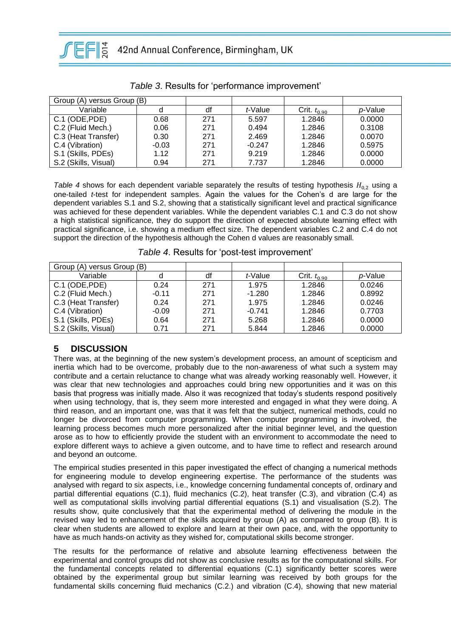

| Group (A) versus Group (B) |         |     |          |                  |         |
|----------------------------|---------|-----|----------|------------------|---------|
| Variable                   |         | df  | t-Value  | Crit. $t_{0.90}$ | p-Value |
| C.1 (ODE, PDE)             | 0.68    | 271 | 5.597    | 1.2846           | 0.0000  |
| C.2 (Fluid Mech.)          | 0.06    | 271 | 0.494    | 1.2846           | 0.3108  |
| C.3 (Heat Transfer)        | 0.30    | 271 | 2.469    | 1.2846           | 0.0070  |
| C.4 (Vibration)            | $-0.03$ | 271 | $-0.247$ | 1.2846           | 0.5975  |
| S.1 (Skills, PDEs)         | 1.12    | 271 | 9.219    | 1.2846           | 0.0000  |
| S.2 (Skills, Visual)       | 0.94    | 271 | 7.737    | 1.2846           | 0.0000  |

*Table 3*. Results for 'performance improvement'

*Table 4* shows for each dependent variable separately the results of testing hypothesis  $H_{0,2}$  using a one-tailed *t*-test for independent samples. Again the values for the Cohen's d are large for the dependent variables S.1 and S.2, showing that a statistically significant level and practical significance was achieved for these dependent variables. While the dependent variables C.1 and C.3 do not show a high statistical significance, they do support the direction of expected absolute learning effect with practical significance, i.e. showing a medium effect size. The dependent variables C.2 and C.4 do not support the direction of the hypothesis although the Cohen d values are reasonably small.

| Group (A) versus Group (B) |         |     |          |                  |         |  |  |
|----------------------------|---------|-----|----------|------------------|---------|--|--|
| Variable                   |         | df  | t-Value  | Crit. $t_{0.90}$ | p-Value |  |  |
| C.1 (ODE, PDE)             | 0.24    | 271 | 1.975    | 1.2846           | 0.0246  |  |  |
| C.2 (Fluid Mech.)          | $-0.11$ | 271 | $-1.280$ | 1.2846           | 0.8992  |  |  |
| C.3 (Heat Transfer)        | 0.24    | 271 | 1.975    | 1.2846           | 0.0246  |  |  |
| C.4 (Vibration)            | $-0.09$ | 271 | $-0.741$ | 1.2846           | 0.7703  |  |  |
| S.1 (Skills, PDEs)         | 0.64    | 271 | 5.268    | 1.2846           | 0.0000  |  |  |
| S.2 (Skills, Visual)       | 0.71    | 271 | 5.844    | 1.2846           | 0.0000  |  |  |

*Table 4*. Results for 'post-test improvement'

# **5 DISCUSSION**

There was, at the beginning of the new system's development process, an amount of scepticism and inertia which had to be overcome, probably due to the non-awareness of what such a system may contribute and a certain reluctance to change what was already working reasonably well. However, it was clear that new technologies and approaches could bring new opportunities and it was on this basis that progress was initially made. Also it was recognized that today's students respond positively when using technology, that is, they seem more interested and engaged in what they were doing. A third reason, and an important one, was that it was felt that the subject, numerical methods, could no longer be divorced from computer programming. When computer programming is involved, the learning process becomes much more personalized after the initial beginner level, and the question arose as to how to efficiently provide the student with an environment to accommodate the need to explore different ways to achieve a given outcome, and to have time to reflect and research around and beyond an outcome.

The empirical studies presented in this paper investigated the effect of changing a numerical methods for engineering module to develop engineering expertise. The performance of the students was analysed with regard to six aspects, i.e., knowledge concerning fundamental concepts of, ordinary and partial differential equations (C.1), fluid mechanics (C.2), heat transfer (C.3), and vibration (C.4) as well as computational skills involving partial differential equations (S.1) and visualisation (S.2). The results show, quite conclusively that that the experimental method of delivering the module in the revised way led to enhancement of the skills acquired by group (A) as compared to group (B). It is clear when students are allowed to explore and learn at their own pace, and, with the opportunity to have as much hands-on activity as they wished for, computational skills become stronger.

The results for the performance of relative and absolute learning effectiveness between the experimental and control groups did not show as conclusive results as for the computational skills. For the fundamental concepts related to differential equations (C.1) significantly better scores were obtained by the experimental group but similar learning was received by both groups for the fundamental skills concerning fluid mechanics (C.2.) and vibration (C.4), showing that new material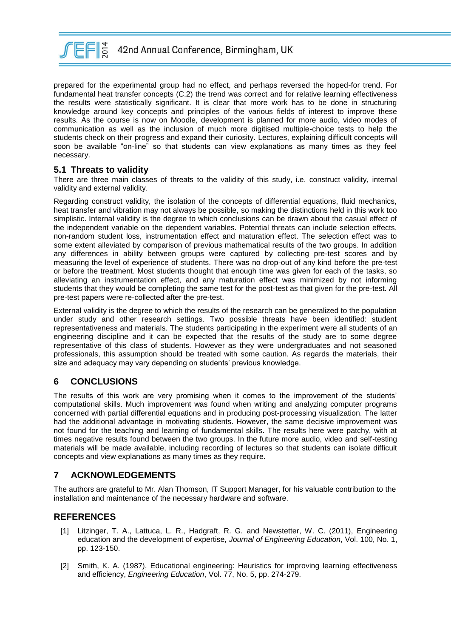

prepared for the experimental group had no effect, and perhaps reversed the hoped-for trend. For fundamental heat transfer concepts (C.2) the trend was correct and for relative learning effectiveness the results were statistically significant. It is clear that more work has to be done in structuring knowledge around key concepts and principles of the various fields of interest to improve these results. As the course is now on Moodle, development is planned for more audio, video modes of communication as well as the inclusion of much more digitised multiple-choice tests to help the students check on their progress and expand their curiosity. Lectures, explaining difficult concepts will soon be available "on-line" so that students can view explanations as many times as they feel necessary.

### **5.1 Threats to validity**

There are three main classes of threats to the validity of this study, i.e. construct validity, internal validity and external validity.

Regarding construct validity, the isolation of the concepts of differential equations, fluid mechanics, heat transfer and vibration may not always be possible, so making the distinctions held in this work too simplistic. Internal validity is the degree to which conclusions can be drawn about the casual effect of the independent variable on the dependent variables. Potential threats can include selection effects, non-random student loss, instrumentation effect and maturation effect. The selection effect was to some extent alleviated by comparison of previous mathematical results of the two groups. In addition any differences in ability between groups were captured by collecting pre-test scores and by measuring the level of experience of students. There was no drop-out of any kind before the pre-test or before the treatment. Most students thought that enough time was given for each of the tasks, so alleviating an instrumentation effect, and any maturation effect was minimized by not informing students that they would be completing the same test for the post-test as that given for the pre-test. All pre-test papers were re-collected after the pre-test.

External validity is the degree to which the results of the research can be generalized to the population under study and other research settings. Two possible threats have been identified: student representativeness and materials. The students participating in the experiment were all students of an engineering discipline and it can be expected that the results of the study are to some degree representative of this class of students. However as they were undergraduates and not seasoned professionals, this assumption should be treated with some caution. As regards the materials, their size and adequacy may vary depending on students' previous knowledge.

# **6 CONCLUSIONS**

The results of this work are very promising when it comes to the improvement of the students' computational skills. Much improvement was found when writing and analyzing computer programs concerned with partial differential equations and in producing post-processing visualization. The latter had the additional advantage in motivating students. However, the same decisive improvement was not found for the teaching and learning of fundamental skills. The results here were patchy, with at times negative results found between the two groups. In the future more audio, video and self-testing materials will be made available, including recording of lectures so that students can isolate difficult concepts and view explanations as many times as they require.

# **7 ACKNOWLEDGEMENTS**

The authors are grateful to Mr. Alan Thomson, IT Support Manager, for his valuable contribution to the installation and maintenance of the necessary hardware and software.

# **REFERENCES**

- [1] Litzinger, T. A., Lattuca, L. R., Hadgraft, R. G. and Newstetter, W. C. (2011), Engineering education and the development of expertise, *Journal of Engineering Education*, Vol. 100, No. 1, pp. 123-150.
- [2] Smith, K. A. (1987), Educational engineering: Heuristics for improving learning effectiveness and efficiency, *Engineering Education*, Vol. 77, No. 5, pp. 274-279.